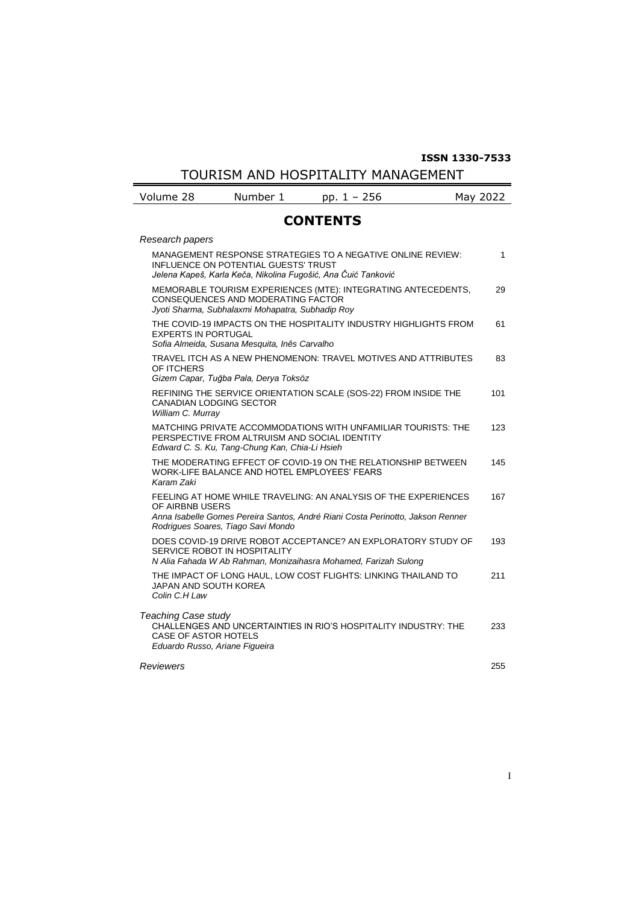## **ISSN 1330-7533**

TOURISM AND HOSPITALITY MANAGEMENT

| Volume 28 | Number 1 | $\sim$ $\prime$ | 2022<br>Mav |
|-----------|----------|-----------------|-------------|
|           |          |                 |             |

## **CONTENTS**

| Research papers                                                                                                                                                             |     |  |
|-----------------------------------------------------------------------------------------------------------------------------------------------------------------------------|-----|--|
| MANAGEMENT RESPONSE STRATEGIES TO A NEGATIVE ONLINE REVIEW:<br><b>INFLUENCE ON POTENTIAL GUESTS' TRUST</b><br>Jelena Kapeš, Karla Keča, Nikolina Fugošić, Ana Čuić Tanković | 1   |  |
| MEMORABLE TOURISM EXPERIENCES (MTE): INTEGRATING ANTECEDENTS,<br>CONSEQUENCES AND MODERATING FACTOR<br>Jyoti Sharma, Subhalaxmi Mohapatra, Subhadip Roy                     | 29  |  |
| THE COVID-19 IMPACTS ON THE HOSPITALITY INDUSTRY HIGHLIGHTS FROM<br><b>EXPERTS IN PORTUGAL</b><br>Sofia Almeida, Susana Mesquita, Inês Carvalho                             | 61  |  |
| TRAVEL ITCH AS A NEW PHENOMENON: TRAVEL MOTIVES AND ATTRIBUTES<br>OF ITCHERS<br>Gizem Capar, Tuğba Pala, Derya Toksöz                                                       | 83  |  |
| REFINING THE SERVICE ORIENTATION SCALE (SOS-22) FROM INSIDE THE<br><b>CANADIAN LODGING SECTOR</b><br>William C. Murray                                                      | 101 |  |
| MATCHING PRIVATE ACCOMMODATIONS WITH UNFAMILIAR TOURISTS: THE<br>PERSPECTIVE FROM ALTRUISM AND SOCIAL IDENTITY<br>Edward C. S. Ku, Tang-Chung Kan, Chia-Li Hsieh            | 123 |  |
| THE MODERATING EFFECT OF COVID-19 ON THE RELATIONSHIP BETWEEN<br>WORK-LIFE BALANCE AND HOTEL EMPLOYEES' FEARS<br>Karam Zaki                                                 | 145 |  |
| FEELING AT HOME WHILE TRAVELING: AN ANALYSIS OF THE EXPERIENCES<br>OF AIRBNB USERS                                                                                          | 167 |  |
| Anna Isabelle Gomes Pereira Santos, André Riani Costa Perinotto, Jakson Renner<br>Rodrigues Soares, Tiago Savi Mondo                                                        |     |  |
| DOES COVID-19 DRIVE ROBOT ACCEPTANCE? AN EXPLORATORY STUDY OF<br>SERVICE ROBOT IN HOSPITALITY<br>N Alia Fahada W Ab Rahman, Monizaihasra Mohamed, Farizah Sulong            | 193 |  |
| THE IMPACT OF LONG HAUL, LOW COST FLIGHTS: LINKING THAILAND TO<br><b>JAPAN AND SOUTH KOREA</b><br>Colin C.H Law                                                             | 211 |  |
| Teaching Case study<br>CHALLENGES AND UNCERTAINTIES IN RIO'S HOSPITALITY INDUSTRY: THE<br><b>CASE OF ASTOR HOTELS</b><br>Eduardo Russo, Ariane Figueira                     | 233 |  |
| Reviewers                                                                                                                                                                   |     |  |